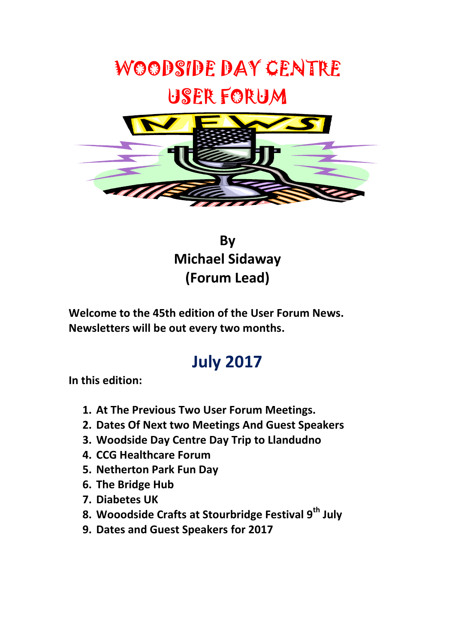

**By Michael Sidaway (Forum Lead)** 

**Welcome to the 45th edition of the User Forum News. Newsletters will be out every two months.**

# **July 2017**

**In this edition:**

- **1. At The Previous Two User Forum Meetings.**
- **2. Dates Of Next two Meetings And Guest Speakers**
- **3. Woodside Day Centre Day Trip to Llandudno**
- **4. CCG Healthcare Forum**
- **5. Netherton Park Fun Day**
- **6. The Bridge Hub**
- **7. Diabetes UK**
- **8. Wooodside Crafts at Stourbridge Festival 9th July**
- **9. Dates and Guest Speakers for 2017**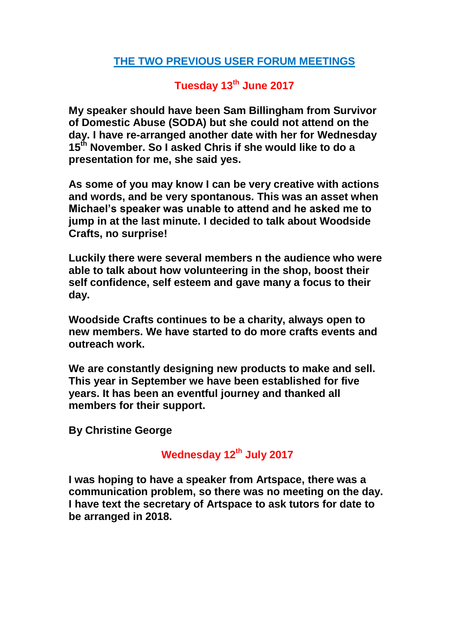#### **THE TWO PREVIOUS USER FORUM MEETINGS**

# **Tuesday 13th June 2017**

**My speaker should have been Sam Billingham from Survivor of Domestic Abuse (SODA) but she could not attend on the day. I have re-arranged another date with her for Wednesday 15th November. So I asked Chris if she would like to do a presentation for me, she said yes.**

**As some of you may know I can be very creative with actions and words, and be very spontanous. This was an asset when Michael's speaker was unable to attend and he asked me to jump in at the last minute. I decided to talk about Woodside Crafts, no surprise!**

**Luckily there were several members n the audience who were able to talk about how volunteering in the shop, boost their self confidence, self esteem and gave many a focus to their day.** 

**Woodside Crafts continues to be a charity, always open to new members. We have started to do more crafts events and outreach work.**

**We are constantly designing new products to make and sell. This year in September we have been established for five years. It has been an eventful journey and thanked all members for their support.**

**By Christine George**

## **Wednesday 12th July 2017**

**I was hoping to have a speaker from Artspace, there was a communication problem, so there was no meeting on the day. I have text the secretary of Artspace to ask tutors for date to be arranged in 2018.**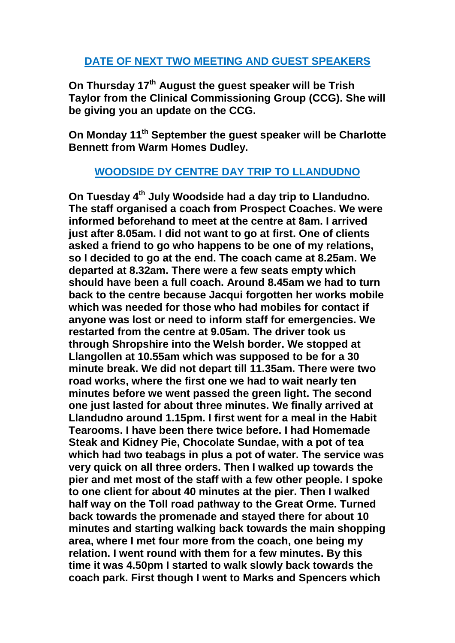#### **DATE OF NEXT TWO MEETING AND GUEST SPEAKERS**

**On Thursday 17th August the guest speaker will be Trish Taylor from the Clinical Commissioning Group (CCG). She will be giving you an update on the CCG.**

**On Monday 11th September the guest speaker will be Charlotte Bennett from Warm Homes Dudley.** 

#### **WOODSIDE DY CENTRE DAY TRIP TO LLANDUDNO**

**On Tuesday 4 th July Woodside had a day trip to Llandudno. The staff organised a coach from Prospect Coaches. We were informed beforehand to meet at the centre at 8am. I arrived just after 8.05am. I did not want to go at first. One of clients asked a friend to go who happens to be one of my relations, so I decided to go at the end. The coach came at 8.25am. We departed at 8.32am. There were a few seats empty which should have been a full coach. Around 8.45am we had to turn back to the centre because Jacqui forgotten her works mobile which was needed for those who had mobiles for contact if anyone was lost or need to inform staff for emergencies. We restarted from the centre at 9.05am. The driver took us through Shropshire into the Welsh border. We stopped at Llangollen at 10.55am which was supposed to be for a 30 minute break. We did not depart till 11.35am. There were two road works, where the first one we had to wait nearly ten minutes before we went passed the green light. The second one just lasted for about three minutes. We finally arrived at Llandudno around 1.15pm. I first went for a meal in the Habit Tearooms. I have been there twice before. I had Homemade Steak and Kidney Pie, Chocolate Sundae, with a pot of tea which had two teabags in plus a pot of water. The service was very quick on all three orders. Then I walked up towards the pier and met most of the staff with a few other people. I spoke to one client for about 40 minutes at the pier. Then I walked half way on the Toll road pathway to the Great Orme. Turned back towards the promenade and stayed there for about 10 minutes and starting walking back towards the main shopping area, where I met four more from the coach, one being my relation. I went round with them for a few minutes. By this time it was 4.50pm I started to walk slowly back towards the coach park. First though I went to Marks and Spencers which**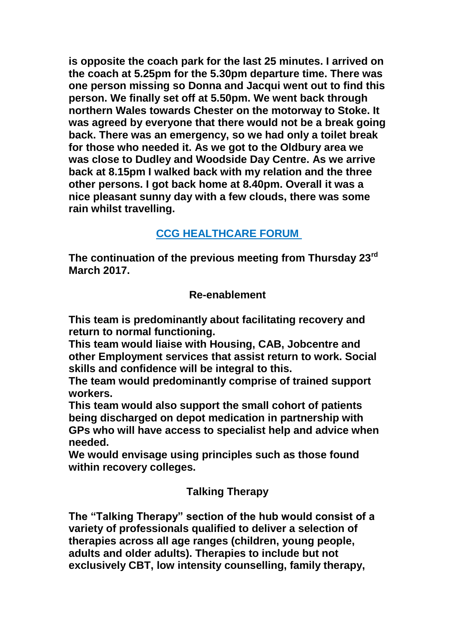**is opposite the coach park for the last 25 minutes. I arrived on the coach at 5.25pm for the 5.30pm departure time. There was one person missing so Donna and Jacqui went out to find this person. We finally set off at 5.50pm. We went back through northern Wales towards Chester on the motorway to Stoke. It was agreed by everyone that there would not be a break going back. There was an emergency, so we had only a toilet break for those who needed it. As we got to the Oldbury area we was close to Dudley and Woodside Day Centre. As we arrive back at 8.15pm I walked back with my relation and the three other persons. I got back home at 8.40pm. Overall it was a nice pleasant sunny day with a few clouds, there was some rain whilst travelling.** 

# **CCG HEALTHCARE FORUM**

**The continuation of the previous meeting from Thursday 23rd March 2017.**

#### **Re-enablement**

**This team is predominantly about facilitating recovery and return to normal functioning.** 

**This team would liaise with Housing, CAB, Jobcentre and other Employment services that assist return to work. Social skills and confidence will be integral to this.**

**The team would predominantly comprise of trained support workers.**

**This team would also support the small cohort of patients being discharged on depot medication in partnership with GPs who will have access to specialist help and advice when needed.** 

**We would envisage using principles such as those found within recovery colleges.**

## **Talking Therapy**

**The "Talking Therapy" section of the hub would consist of a variety of professionals qualified to deliver a selection of therapies across all age ranges (children, young people, adults and older adults). Therapies to include but not exclusively CBT, low intensity counselling, family therapy,**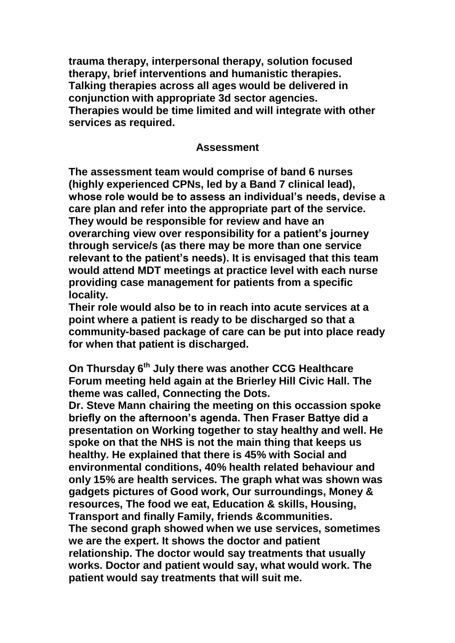**trauma therapy, interpersonal therapy, solution focused therapy, brief interventions and humanistic therapies. Talking therapies across all ages would be delivered in conjunction with appropriate 3d sector agencies. Therapies would be time limited and will integrate with other services as required.**

#### **Assessment**

**The assessment team would comprise of band 6 nurses (highly experienced CPNs, led by a Band 7 clinical lead), whose role would be to assess an individual's needs, devise a care plan and refer into the appropriate part of the service. They would be responsible for review and have an overarching view over responsibility for a patient's journey through service/s (as there may be more than one service relevant to the patient's needs). It is envisaged that this team would attend MDT meetings at practice level with each nurse providing case management for patients from a specific locality.**

**Their role would also be to in reach into acute services at a point where a patient is ready to be discharged so that a community-based package of care can be put into place ready for when that patient is discharged.**

**On Thursday 6th July there was another CCG Healthcare Forum meeting held again at the Brierley Hill Civic Hall. The theme was called, Connecting the Dots.** 

**Dr. Steve Mann chairing the meeting on this occassion spoke briefly on the afternoon's agenda. Then Fraser Battye did a presentation on Working together to stay healthy and well. He spoke on that the NHS is not the main thing that keeps us healthy. He explained that there is 45% with Social and environmental conditions, 40% health related behaviour and only 15% are health services. The graph what was shown was gadgets pictures of Good work, Our surroundings, Money & resources, The food we eat, Education & skills, Housing, Transport and finally Family, friends &communities. The second graph showed when we use services, sometimes we are the expert. It shows the doctor and patient relationship. The doctor would say treatments that usually works. Doctor and patient would say, what would work. The patient would say treatments that will suit me.**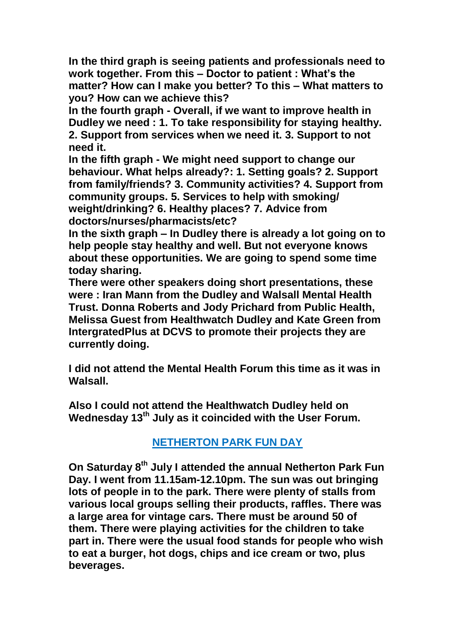**In the third graph is seeing patients and professionals need to work together. From this – Doctor to patient : What's the matter? How can I make you better? To this – What matters to you? How can we achieve this?**

**In the fourth graph - Overall, if we want to improve health in Dudley we need : 1. To take responsibility for staying healthy. 2. Support from services when we need it. 3. Support to not need it.**

**In the fifth graph - We might need support to change our behaviour. What helps already?: 1. Setting goals? 2. Support from family/friends? 3. Community activities? 4. Support from community groups. 5. Services to help with smoking/ weight/drinking? 6. Healthy places? 7. Advice from doctors/nurses/pharmacists/etc?**

**In the sixth graph – In Dudley there is already a lot going on to help people stay healthy and well. But not everyone knows about these opportunities. We are going to spend some time today sharing.**

**There were other speakers doing short presentations, these were : Iran Mann from the Dudley and Walsall Mental Health Trust. Donna Roberts and Jody Prichard from Public Health, Melissa Guest from Healthwatch Dudley and Kate Green from IntergratedPlus at DCVS to promote their projects they are currently doing.** 

**I did not attend the Mental Health Forum this time as it was in Walsall.**

**Also I could not attend the Healthwatch Dudley held on Wednesday 13th July as it coincided with the User Forum.** 

## **NETHERTON PARK FUN DAY**

**On Saturday 8th July I attended the annual Netherton Park Fun Day. I went from 11.15am-12.10pm. The sun was out bringing lots of people in to the park. There were plenty of stalls from various local groups selling their products, raffles. There was a large area for vintage cars. There must be around 50 of them. There were playing activities for the children to take part in. There were the usual food stands for people who wish to eat a burger, hot dogs, chips and ice cream or two, plus beverages.**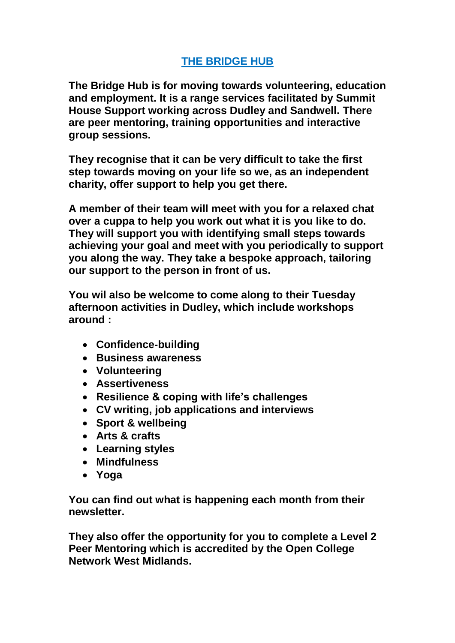# **THE BRIDGE HUB**

**The Bridge Hub is for moving towards volunteering, education and employment. It is a range services facilitated by Summit House Support working across Dudley and Sandwell. There are peer mentoring, training opportunities and interactive group sessions.**

**They recognise that it can be very difficult to take the first step towards moving on your life so we, as an independent charity, offer support to help you get there.**

**A member of their team will meet with you for a relaxed chat over a cuppa to help you work out what it is you like to do. They will support you with identifying small steps towards achieving your goal and meet with you periodically to support you along the way. They take a bespoke approach, tailoring our support to the person in front of us.**

**You wil also be welcome to come along to their Tuesday afternoon activities in Dudley, which include workshops around :**

- **Confidence-building**
- **Business awareness**
- **Volunteering**
- **Assertiveness**
- **Resilience & coping with life's challenges**
- **CV writing, job applications and interviews**
- **Sport & wellbeing**
- **Arts & crafts**
- **Learning styles**
- **Mindfulness**
- **Yoga**

**You can find out what is happening each month from their newsletter.**

**They also offer the opportunity for you to complete a Level 2 Peer Mentoring which is accredited by the Open College Network West Midlands.**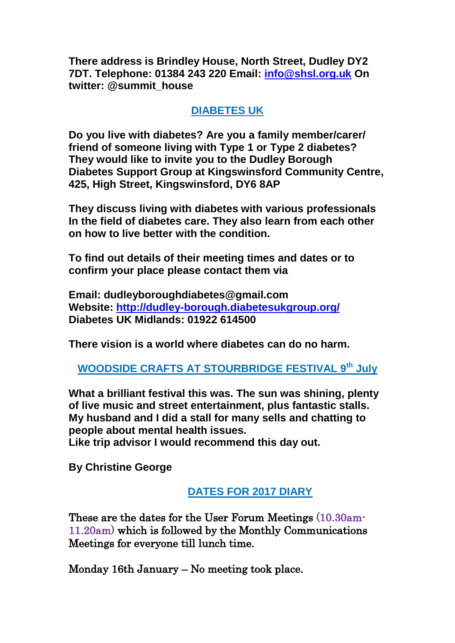**There address is Brindley House, North Street, Dudley DY2 7DT. Telephone: 01384 243 220 Email: [info@shsl.org.uk](mailto:info@shsl.org.uk) On twitter: @summit\_house**

## **DIABETES UK**

**Do you live with diabetes? Are you a family member/carer/ friend of someone living with Type 1 or Type 2 diabetes? They would like to invite you to the Dudley Borough Diabetes Support Group at Kingswinsford Community Centre, 425, High Street, Kingswinsford, DY6 8AP**

**They discuss living with diabetes with various professionals In the field of diabetes care. They also learn from each other on how to live better with the condition.**

**To find out details of their meeting times and dates or to confirm your place please contact them via**

**Email: dudleyboroughdiabetes@gmail.com Website:<http://dudley-borough.diabetesukgroup.org/> Diabetes UK Midlands: 01922 614500**

**There vision is a world where diabetes can do no harm.** 

**WOODSIDE CRAFTS AT STOURBRIDGE FESTIVAL 9th July**

**What a brilliant festival this was. The sun was shining, plenty of live music and street entertainment, plus fantastic stalls. My husband and I did a stall for many sells and chatting to people about mental health issues.**

**Like trip advisor I would recommend this day out.**

**By Christine George**

## **DATES FOR 2017 DIARY**

These are the dates for the User Forum Meetings (10.30am-11.20am) which is followed by the Monthly Communications Meetings for everyone till lunch time.

Monday 16th January – No meeting took place.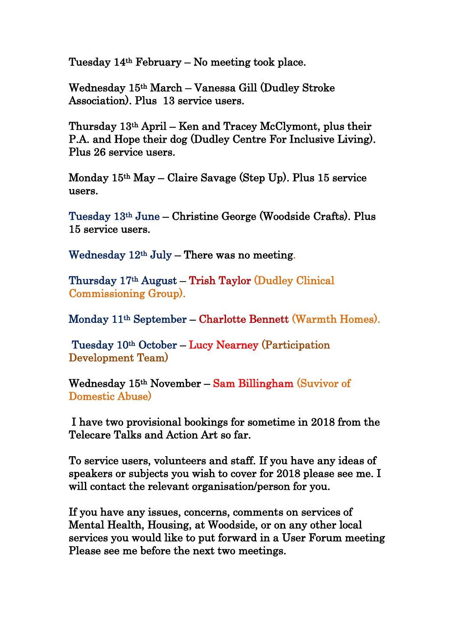Tuesday 14th February – No meeting took place.

Wednesday 15th March – Vanessa Gill (Dudley Stroke Association). Plus 13 service users.

Thursday 13th April – Ken and Tracey McClymont, plus their P.A. and Hope their dog (Dudley Centre For Inclusive Living). Plus 26 service users.

Monday 15th May – Claire Savage (Step Up). Plus 15 service users.

Tuesday 13th June – Christine George (Woodside Crafts). Plus 15 service users.

Wednesday  $12<sup>th</sup>$  July – There was no meeting.

Thursday 17th August – Trish Taylor (Dudley Clinical Commissioning Group).

Monday 11th September – Charlotte Bennett (Warmth Homes).

 Tuesday 10th October – Lucy Nearney (Participation Development Team)

Wednesday 15th November – Sam Billingham (Suvivor of Domestic Abuse)

 I have two provisional bookings for sometime in 2018 from the Telecare Talks and Action Art so far.

To service users, volunteers and staff. If you have any ideas of speakers or subjects you wish to cover for 2018 please see me. I will contact the relevant organisation/person for you.

If you have any issues, concerns, comments on services of Mental Health, Housing, at Woodside, or on any other local services you would like to put forward in a User Forum meeting Please see me before the next two meetings.